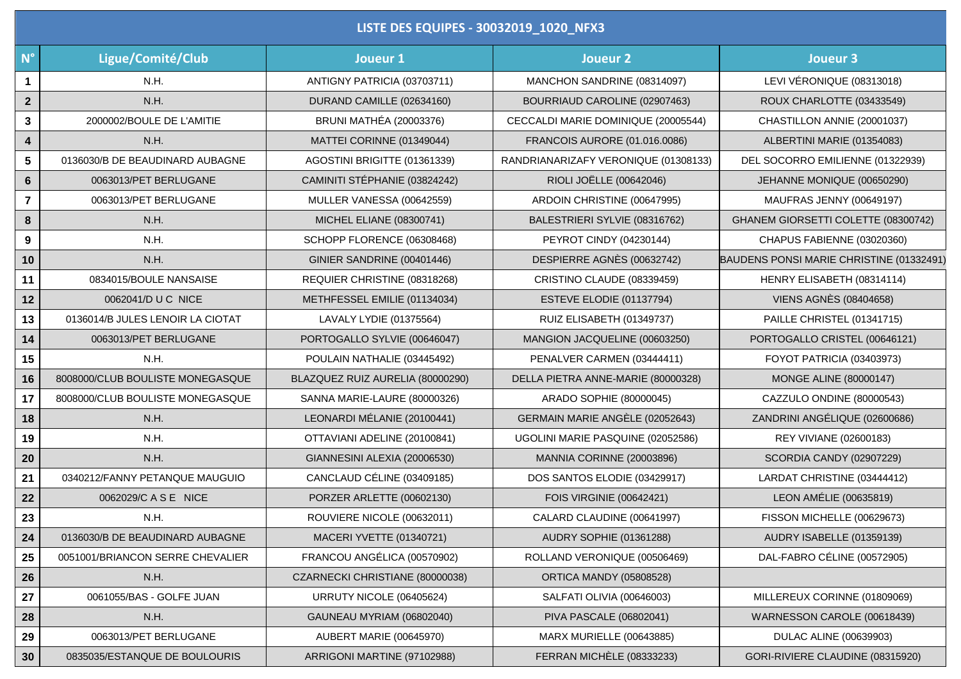| LISTE DES EQUIPES - 30032019_1020_NFX3 |                                  |                                  |                                      |                                          |  |  |
|----------------------------------------|----------------------------------|----------------------------------|--------------------------------------|------------------------------------------|--|--|
| $N^{\circ}$                            | Ligue/Comité/Club                | Joueur 1                         | Joueur <sub>2</sub>                  | <b>Joueur 3</b>                          |  |  |
| $\mathbf{1}$                           | N.H.                             | ANTIGNY PATRICIA (03703711)      | MANCHON SANDRINE (08314097)          | LEVI VÉRONIQUE (08313018)                |  |  |
| $\overline{2}$                         | N.H.                             | DURAND CAMILLE (02634160)        | BOURRIAUD CAROLINE (02907463)        | ROUX CHARLOTTE (03433549)                |  |  |
| $\mathbf{3}$                           | 2000002/BOULE DE L'AMITIE        | <b>BRUNI MATHÉA (20003376)</b>   | CECCALDI MARIE DOMINIQUE (20005544)  | CHASTILLON ANNIE (20001037)              |  |  |
| 4                                      | N.H.                             | MATTEI CORINNE (01349044)        | FRANCOIS AURORE (01.016.0086)        | ALBERTINI MARIE (01354083)               |  |  |
| 5                                      | 0136030/B DE BEAUDINARD AUBAGNE  | AGOSTINI BRIGITTE (01361339)     | RANDRIANARIZAFY VERONIQUE (01308133) | DEL SOCORRO EMILIENNE (01322939)         |  |  |
| $6\phantom{a}$                         | 0063013/PET BERLUGANE            | CAMINITI STÉPHANIE (03824242)    | RIOLI JOËLLE (00642046)              | JEHANNE MONIQUE (00650290)               |  |  |
| 7                                      | 0063013/PET BERLUGANE            | MULLER VANESSA (00642559)        | ARDOIN CHRISTINE (00647995)          | MAUFRAS JENNY (00649197)                 |  |  |
| 8                                      | N.H.                             | MICHEL ELIANE (08300741)         | BALESTRIERI SYLVIE (08316762)        | GHANEM GIORSETTI COLETTE (08300742)      |  |  |
| 9                                      | N.H.                             | SCHOPP FLORENCE (06308468)       | PEYROT CINDY (04230144)              | CHAPUS FABIENNE (03020360)               |  |  |
| 10                                     | N.H.                             | GINIER SANDRINE (00401446)       | DESPIERRE AGNÈS (00632742)           | BAUDENS PONSI MARIE CHRISTINE (01332491) |  |  |
| 11                                     | 0834015/BOULE NANSAISE           | REQUIER CHRISTINE (08318268)     | CRISTINO CLAUDE (08339459)           | HENRY ELISABETH (08314114)               |  |  |
| 12                                     | 0062041/D U C NICE               | METHFESSEL EMILIE (01134034)     | ESTEVE ELODIE (01137794)             | <b>VIENS AGNÈS (08404658)</b>            |  |  |
| 13                                     | 0136014/B JULES LENOIR LA CIOTAT | LAVALY LYDIE (01375564)          | RUIZ ELISABETH (01349737)            | PAILLE CHRISTEL (01341715)               |  |  |
| 14                                     | 0063013/PET BERLUGANE            | PORTOGALLO SYLVIE (00646047)     | MANGION JACQUELINE (00603250)        | PORTOGALLO CRISTEL (00646121)            |  |  |
| 15                                     | N.H.                             | POULAIN NATHALIE (03445492)      | PENALVER CARMEN (03444411)           | FOYOT PATRICIA (03403973)                |  |  |
| 16                                     | 8008000/CLUB BOULISTE MONEGASQUE | BLAZQUEZ RUIZ AURELIA (80000290) | DELLA PIETRA ANNE-MARIE (80000328)   | MONGE ALINE (80000147)                   |  |  |
| 17                                     | 8008000/CLUB BOULISTE MONEGASQUE | SANNA MARIE-LAURE (80000326)     | ARADO SOPHIE (80000045)              | CAZZULO ONDINE (80000543)                |  |  |
| 18                                     | N.H.                             | LEONARDI MÉLANIE (20100441)      | GERMAIN MARIE ANGÈLE (02052643)      | ZANDRINI ANGÉLIQUE (02600686)            |  |  |
| 19                                     | N.H.                             | OTTAVIANI ADELINE (20100841)     | UGOLINI MARIE PASQUINE (02052586)    | REY VIVIANE (02600183)                   |  |  |
| 20                                     | N.H.                             | GIANNESINI ALEXIA (20006530)     | MANNIA CORINNE (20003896)            | <b>SCORDIA CANDY (02907229)</b>          |  |  |
| 21                                     | 0340212/FANNY PETANQUE MAUGUIO   | CANCLAUD CÉLINE (03409185)       | DOS SANTOS ELODIE (03429917)         | LARDAT CHRISTINE (03444412)              |  |  |
| 22                                     | 0062029/C A S E NICE             | PORZER ARLETTE (00602130)        | FOIS VIRGINIE (00642421)             | LEON AMÉLIE (00635819)                   |  |  |
| 23                                     | N.H.                             | ROUVIERE NICOLE (00632011)       | CALARD CLAUDINE (00641997)           | FISSON MICHELLE (00629673)               |  |  |
| 24                                     | 0136030/B DE BEAUDINARD AUBAGNE  | MACERI YVETTE (01340721)         | AUDRY SOPHIE (01361288)              | AUDRY ISABELLE (01359139)                |  |  |
| 25                                     | 0051001/BRIANCON SERRE CHEVALIER | FRANCOU ANGÉLICA (00570902)      | ROLLAND VERONIQUE (00506469)         | DAL-FABRO CÉLINE (00572905)              |  |  |
| 26                                     | N.H.                             | CZARNECKI CHRISTIANE (80000038)  | <b>ORTICA MANDY (05808528)</b>       |                                          |  |  |
| 27                                     | 0061055/BAS - GOLFE JUAN         | URRUTY NICOLE (06405624)         | SALFATI OLIVIA (00646003)            | MILLEREUX CORINNE (01809069)             |  |  |
| 28                                     | N.H.                             | GAUNEAU MYRIAM (06802040)        | PIVA PASCALE (06802041)              | WARNESSON CAROLE (00618439)              |  |  |
| 29                                     | 0063013/PET BERLUGANE            | AUBERT MARIE (00645970)          | MARX MURIELLE (00643885)             | <b>DULAC ALINE (00639903)</b>            |  |  |
| $30\,$                                 | 0835035/ESTANQUE DE BOULOURIS    | ARRIGONI MARTINE (97102988)      | FERRAN MICHÈLE (08333233)            | GORI-RIVIERE CLAUDINE (08315920)         |  |  |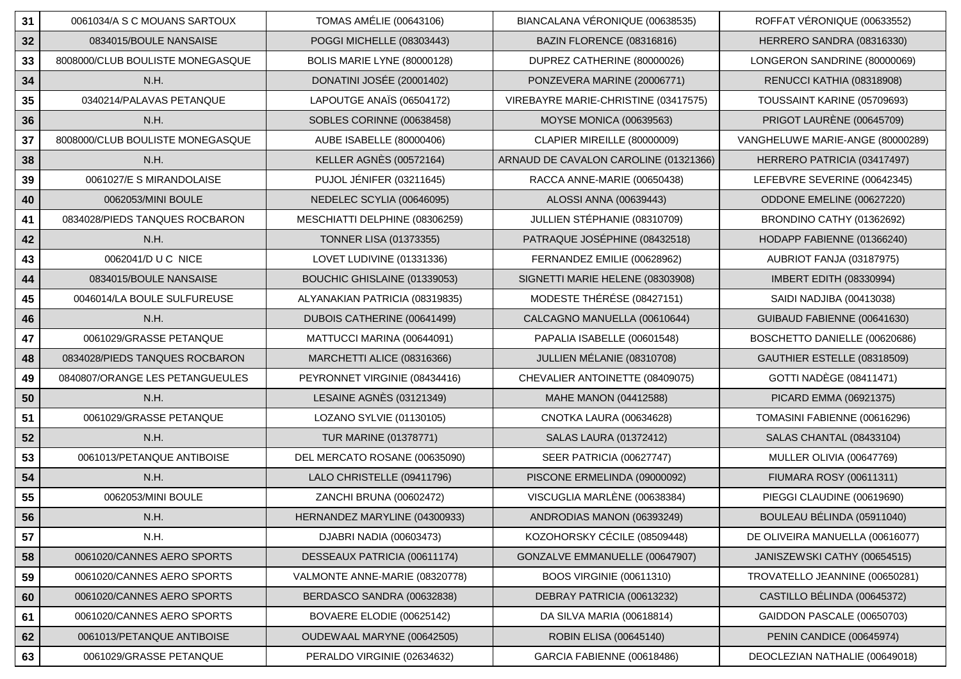| 31     | 0061034/A S C MOUANS SARTOUX     | <b>TOMAS AMÉLIE (00643106)</b>  | BIANCALANA VÉRONIQUE (00638535)       | ROFFAT VÉRONIQUE (00633552)      |
|--------|----------------------------------|---------------------------------|---------------------------------------|----------------------------------|
| 32     | 0834015/BOULE NANSAISE           | POGGI MICHELLE (08303443)       | BAZIN FLORENCE (08316816)             | HERRERO SANDRA (08316330)        |
| 33     | 8008000/CLUB BOULISTE MONEGASQUE | BOLIS MARIE LYNE (80000128)     | DUPREZ CATHERINE (80000026)           | LONGERON SANDRINE (80000069)     |
| 34     | N.H.                             | DONATINI JOSÉE (20001402)       | PONZEVERA MARINE (20006771)           | RENUCCI KATHIA (08318908)        |
| 35     | 0340214/PALAVAS PETANQUE         | LAPOUTGE ANAÏS (06504172)       | VIREBAYRE MARIE-CHRISTINE (03417575)  | TOUSSAINT KARINE (05709693)      |
| $36\,$ | N.H.                             | SOBLES CORINNE (00638458)       | <b>MOYSE MONICA (00639563)</b>        | PRIGOT LAURÈNE (00645709)        |
| 37     | 8008000/CLUB BOULISTE MONEGASQUE | AUBE ISABELLE (80000406)        | CLAPIER MIREILLE (80000009)           | VANGHELUWE MARIE-ANGE (80000289) |
| 38     | N.H.                             | <b>KELLER AGNÈS (00572164)</b>  | ARNAUD DE CAVALON CAROLINE (01321366) | HERRERO PATRICIA (03417497)      |
| 39     | 0061027/E S MIRANDOLAISE         | <b>PUJOL JÉNIFER (03211645)</b> | RACCA ANNE-MARIE (00650438)           | LEFEBVRE SEVERINE (00642345)     |
| 40     | 0062053/MINI BOULE               | NEDELEC SCYLIA (00646095)       | ALOSSI ANNA (00639443)                | ODDONE EMELINE (00627220)        |
| 41     | 0834028/PIEDS TANQUES ROCBARON   | MESCHIATTI DELPHINE (08306259)  | JULLIEN STÉPHANIE (08310709)          | BRONDINO CATHY (01362692)        |
| 42     | N.H.                             | <b>TONNER LISA (01373355)</b>   | PATRAQUE JOSÉPHINE (08432518)         | HODAPP FABIENNE (01366240)       |
| 43     | 0062041/D U C NICE               | LOVET LUDIVINE (01331336)       | FERNANDEZ EMILIE (00628962)           | AUBRIOT FANJA (03187975)         |
| 44     | 0834015/BOULE NANSAISE           | BOUCHIC GHISLAINE (01339053)    | SIGNETTI MARIE HELENE (08303908)      | IMBERT EDITH (08330994)          |
| 45     | 0046014/LA BOULE SULFUREUSE      | ALYANAKIAN PATRICIA (08319835)  | MODESTE THÉRÉSE (08427151)            | SAIDI NADJIBA (00413038)         |
| 46     | N.H.                             | DUBOIS CATHERINE (00641499)     | CALCAGNO MANUELLA (00610644)          | GUIBAUD FABIENNE (00641630)      |
| 47     | 0061029/GRASSE PETANQUE          | MATTUCCI MARINA (00644091)      | PAPALIA ISABELLE (00601548)           | BOSCHETTO DANIELLE (00620686)    |
| 48     | 0834028/PIEDS TANQUES ROCBARON   | MARCHETTI ALICE (08316366)      | JULLIEN MÉLANIE (08310708)            | GAUTHIER ESTELLE (08318509)      |
| 49     | 0840807/ORANGE LES PETANGUEULES  | PEYRONNET VIRGINIE (08434416)   | CHEVALIER ANTOINETTE (08409075)       | <b>GOTTI NADÈGE (08411471)</b>   |
| 50     | N.H.                             | LESAINE AGNÈS (03121349)        | MAHE MANON (04412588)                 | PICARD EMMA (06921375)           |
| 51     | 0061029/GRASSE PETANQUE          | LOZANO SYLVIE (01130105)        | CNOTKA LAURA (00634628)               | TOMASINI FABIENNE (00616296)     |
| 52     | N.H.                             | <b>TUR MARINE (01378771)</b>    | <b>SALAS LAURA (01372412)</b>         | SALAS CHANTAL (08433104)         |
| 53     | 0061013/PETANQUE ANTIBOISE       | DEL MERCATO ROSANE (00635090)   | SEER PATRICIA (00627747)              | MULLER OLIVIA (00647769)         |
| 54     | N.H.                             | LALO CHRISTELLE (09411796)      | PISCONE ERMELINDA (09000092)          | FIUMARA ROSY (00611311)          |
| 55     | 0062053/MINI BOULE               | ZANCHI BRUNA (00602472)         | VISCUGLIA MARLÈNE (00638384)          | PIEGGI CLAUDINE (00619690)       |
| 56     | N.H.                             | HERNANDEZ MARYLINE (04300933)   | ANDRODIAS MANON (06393249)            | BOULEAU BÉLINDA (05911040)       |
| 57     | N.H.                             | DJABRI NADIA (00603473)         | KOZOHORSKY CÉCILE (08509448)          | DE OLIVEIRA MANUELLA (00616077)  |
| 58     | 0061020/CANNES AERO SPORTS       | DESSEAUX PATRICIA (00611174)    | GONZALVE EMMANUELLE (00647907)        | JANISZEWSKI CATHY (00654515)     |
| 59     | 0061020/CANNES AERO SPORTS       | VALMONTE ANNE-MARIE (08320778)  | <b>BOOS VIRGINIE (00611310)</b>       | TROVATELLO JEANNINE (00650281)   |
| 60     | 0061020/CANNES AERO SPORTS       | BERDASCO SANDRA (00632838)      | DEBRAY PATRICIA (00613232)            | CASTILLO BÉLINDA (00645372)      |
| 61     | 0061020/CANNES AERO SPORTS       | BOVAERE ELODIE (00625142)       | DA SILVA MARIA (00618814)             | GAIDDON PASCALE (00650703)       |
| 62     | 0061013/PETANQUE ANTIBOISE       | OUDEWAAL MARYNE (00642505)      | ROBIN ELISA (00645140)                | PENIN CANDICE (00645974)         |
| 63     | 0061029/GRASSE PETANQUE          | PERALDO VIRGINIE (02634632)     | GARCIA FABIENNE (00618486)            | DEOCLEZIAN NATHALIE (00649018)   |